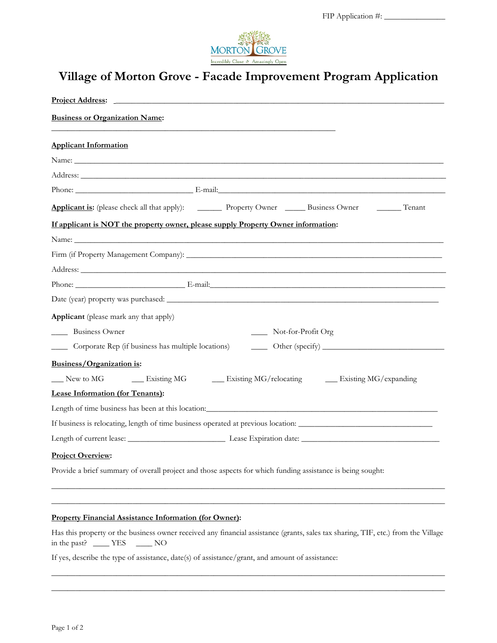

# **Village of Morton Grove - Facade Improvement Program Application**

| <b>Business or Organization Name:</b>                                                                                                                                                                                          |
|--------------------------------------------------------------------------------------------------------------------------------------------------------------------------------------------------------------------------------|
| <b>Applicant Information</b>                                                                                                                                                                                                   |
|                                                                                                                                                                                                                                |
|                                                                                                                                                                                                                                |
|                                                                                                                                                                                                                                |
|                                                                                                                                                                                                                                |
| If applicant is NOT the property owner, please supply Property Owner information:                                                                                                                                              |
|                                                                                                                                                                                                                                |
| Firm (if Property Management Company): North Company and Company and Company and Company and Company and Company and Company and Company and Company and Company and Company and Company and Company and Company and Company a |
|                                                                                                                                                                                                                                |
|                                                                                                                                                                                                                                |
|                                                                                                                                                                                                                                |
| Applicant (please mark any that apply)                                                                                                                                                                                         |
| _______ Business Owner<br>Not-for-Profit Org                                                                                                                                                                                   |
| Corporate Rep (if business has multiple locations)<br>$\frac{1}{2}$                                                                                                                                                            |
| Business/Organization is:                                                                                                                                                                                                      |
| Existing MG/relocating Existing MG/expanding<br>New to MG Existing MG                                                                                                                                                          |
| Lease Information (for Tenants):                                                                                                                                                                                               |
|                                                                                                                                                                                                                                |
| If business is relocating, length of time business operated at previous location:                                                                                                                                              |
|                                                                                                                                                                                                                                |
| <b>Project Overview:</b>                                                                                                                                                                                                       |
| Provide a brief summary of overall project and those aspects for which funding assistance is being sought:                                                                                                                     |
| <b>Property Financial Assistance Information (for Owner):</b>                                                                                                                                                                  |
| Has this property or the business owner received any financial assistance (grants, sales tax sharing, TIF, etc.) from the Village<br>in the past? _____ YES _____ NO                                                           |

\_\_\_\_\_\_\_\_\_\_\_\_\_\_\_\_\_\_\_\_\_\_\_\_\_\_\_\_\_\_\_\_\_\_\_\_\_\_\_\_\_\_\_\_\_\_\_\_\_\_\_\_\_\_\_\_\_\_\_\_\_\_\_\_\_\_\_\_\_\_\_\_\_\_\_\_\_\_\_\_\_\_\_\_\_\_\_\_\_\_\_\_\_\_\_\_\_ \_\_\_\_\_\_\_\_\_\_\_\_\_\_\_\_\_\_\_\_\_\_\_\_\_\_\_\_\_\_\_\_\_\_\_\_\_\_\_\_\_\_\_\_\_\_\_\_\_\_\_\_\_\_\_\_\_\_\_\_\_\_\_\_\_\_\_\_\_\_\_\_\_\_\_\_\_\_\_\_\_\_\_\_\_\_\_\_\_\_\_\_\_\_\_\_\_

If yes, describe the type of assistance, date(s) of assistance/grant, and amount of assistance: